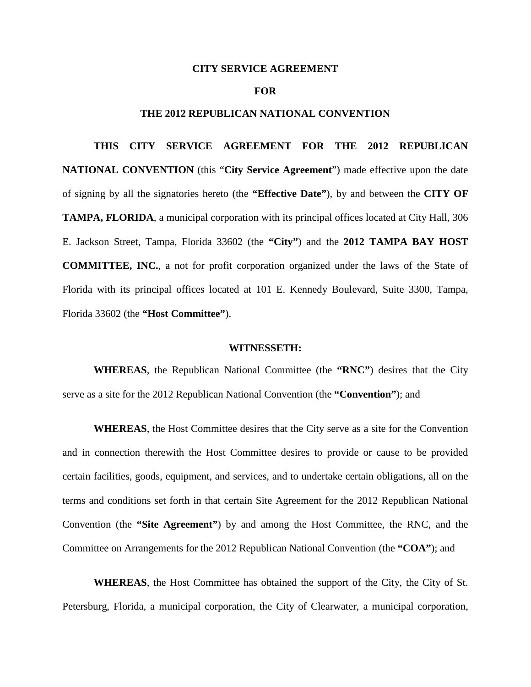#### **CITY SERVICE AGREEMENT**

#### **FOR**

#### **THE 2012 REPUBLICAN NATIONAL CONVENTION**

**THIS CITY SERVICE AGREEMENT FOR THE 2012 REPUBLICAN NATIONAL CONVENTION** (this "**City Service Agreement**") made effective upon the date of signing by all the signatories hereto (the **"Effective Date"**), by and between the **CITY OF TAMPA, FLORIDA**, a municipal corporation with its principal offices located at City Hall, 306 E. Jackson Street, Tampa, Florida 33602 (the **"City"**) and the **2012 TAMPA BAY HOST COMMITTEE, INC.**, a not for profit corporation organized under the laws of the State of Florida with its principal offices located at 101 E. Kennedy Boulevard, Suite 3300, Tampa, Florida 33602 (the **"Host Committee"**).

#### **WITNESSETH:**

**WHEREAS**, the Republican National Committee (the **"RNC"**) desires that the City serve as a site for the 2012 Republican National Convention (the **"Convention"**); and

**WHEREAS**, the Host Committee desires that the City serve as a site for the Convention and in connection therewith the Host Committee desires to provide or cause to be provided certain facilities, goods, equipment, and services, and to undertake certain obligations, all on the terms and conditions set forth in that certain Site Agreement for the 2012 Republican National Convention (the **"Site Agreement"**) by and among the Host Committee, the RNC, and the Committee on Arrangements for the 2012 Republican National Convention (the **"COA"**); and

**WHEREAS**, the Host Committee has obtained the support of the City, the City of St. Petersburg, Florida, a municipal corporation, the City of Clearwater, a municipal corporation,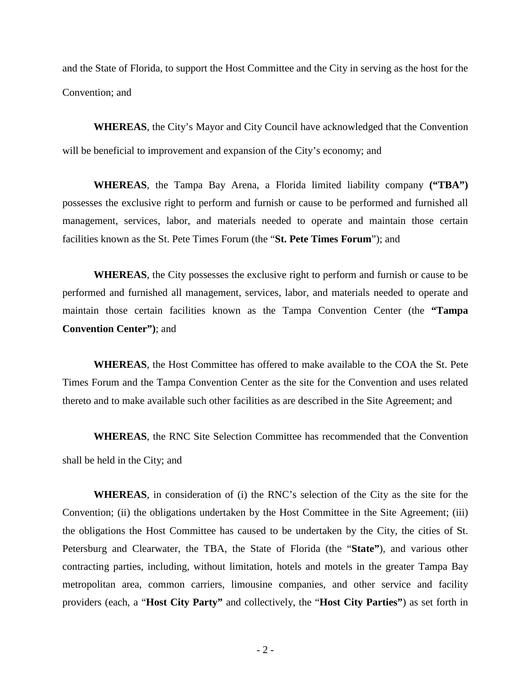and the State of Florida, to support the Host Committee and the City in serving as the host for the Convention; and

**WHEREAS**, the City's Mayor and City Council have acknowledged that the Convention will be beneficial to improvement and expansion of the City's economy; and

**WHEREAS**, the Tampa Bay Arena, a Florida limited liability company **("TBA")** possesses the exclusive right to perform and furnish or cause to be performed and furnished all management, services, labor, and materials needed to operate and maintain those certain facilities known as the St. Pete Times Forum (the "**St. Pete Times Forum**"); and

**WHEREAS**, the City possesses the exclusive right to perform and furnish or cause to be performed and furnished all management, services, labor, and materials needed to operate and maintain those certain facilities known as the Tampa Convention Center (the **"Tampa Convention Center")**; and

**WHEREAS**, the Host Committee has offered to make available to the COA the St. Pete Times Forum and the Tampa Convention Center as the site for the Convention and uses related thereto and to make available such other facilities as are described in the Site Agreement; and

**WHEREAS**, the RNC Site Selection Committee has recommended that the Convention shall be held in the City; and

**WHEREAS**, in consideration of (i) the RNC's selection of the City as the site for the Convention; (ii) the obligations undertaken by the Host Committee in the Site Agreement; (iii) the obligations the Host Committee has caused to be undertaken by the City, the cities of St. Petersburg and Clearwater, the TBA, the State of Florida (the "**State"**), and various other contracting parties, including, without limitation, hotels and motels in the greater Tampa Bay metropolitan area, common carriers, limousine companies, and other service and facility providers (each, a "**Host City Party"** and collectively, the "**Host City Parties"**) as set forth in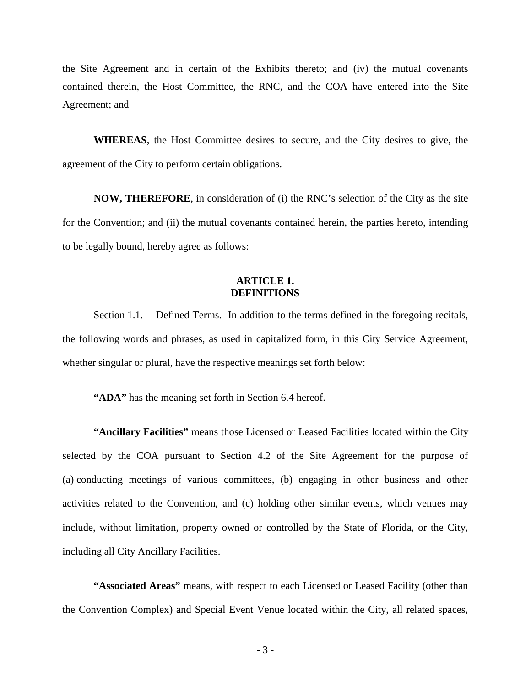the Site Agreement and in certain of the Exhibits thereto; and (iv) the mutual covenants contained therein, the Host Committee, the RNC, and the COA have entered into the Site Agreement; and

**WHEREAS**, the Host Committee desires to secure, and the City desires to give, the agreement of the City to perform certain obligations.

**NOW, THEREFORE**, in consideration of (i) the RNC's selection of the City as the site for the Convention; and (ii) the mutual covenants contained herein, the parties hereto, intending to be legally bound, hereby agree as follows:

## **ARTICLE 1. DEFINITIONS**

Section 1.1. Defined Terms. In addition to the terms defined in the foregoing recitals, the following words and phrases, as used in capitalized form, in this City Service Agreement, whether singular or plural, have the respective meanings set forth below:

**"ADA"** has the meaning set forth in Section 6.4 hereof.

**"Ancillary Facilities"** means those Licensed or Leased Facilities located within the City selected by the COA pursuant to Section 4.2 of the Site Agreement for the purpose of (a) conducting meetings of various committees, (b) engaging in other business and other activities related to the Convention, and (c) holding other similar events, which venues may include, without limitation, property owned or controlled by the State of Florida, or the City, including all City Ancillary Facilities.

**"Associated Areas"** means, with respect to each Licensed or Leased Facility (other than the Convention Complex) and Special Event Venue located within the City, all related spaces,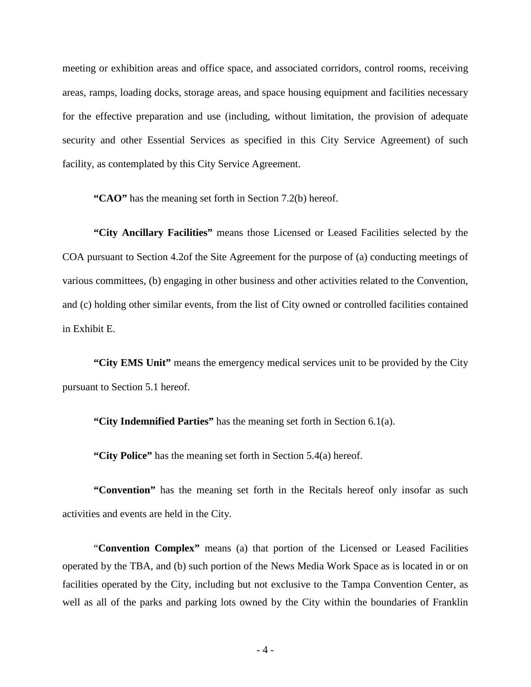meeting or exhibition areas and office space, and associated corridors, control rooms, receiving areas, ramps, loading docks, storage areas, and space housing equipment and facilities necessary for the effective preparation and use (including, without limitation, the provision of adequate security and other Essential Services as specified in this City Service Agreement) of such facility, as contemplated by this City Service Agreement.

**"CAO"** has the meaning set forth in Section 7.2(b) hereof.

**"City Ancillary Facilities"** means those Licensed or Leased Facilities selected by the COA pursuant to Section 4.2of the Site Agreement for the purpose of (a) conducting meetings of various committees, (b) engaging in other business and other activities related to the Convention, and (c) holding other similar events, from the list of City owned or controlled facilities contained in Exhibit E.

**"City EMS Unit"** means the emergency medical services unit to be provided by the City pursuant to Section 5.1 hereof.

**"City Indemnified Parties"** has the meaning set forth in Section 6.1(a).

**"City Police"** has the meaning set forth in Section 5.4(a) hereof.

**"Convention"** has the meaning set forth in the Recitals hereof only insofar as such activities and events are held in the City.

"**Convention Complex"** means (a) that portion of the Licensed or Leased Facilities operated by the TBA, and (b) such portion of the News Media Work Space as is located in or on facilities operated by the City, including but not exclusive to the Tampa Convention Center, as well as all of the parks and parking lots owned by the City within the boundaries of Franklin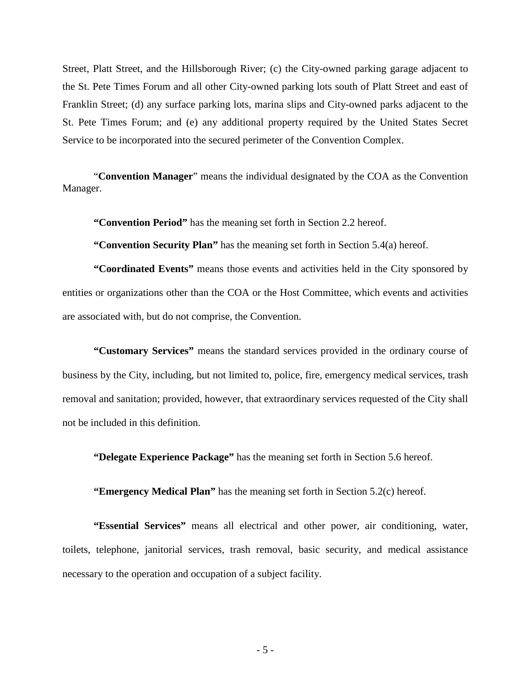Street, Platt Street, and the Hillsborough River; (c) the City-owned parking garage adjacent to the St. Pete Times Forum and all other City-owned parking lots south of Platt Street and east of Franklin Street; (d) any surface parking lots, marina slips and City-owned parks adjacent to the St. Pete Times Forum; and (e) any additional property required by the United States Secret Service to be incorporated into the secured perimeter of the Convention Complex.

"**Convention Manager**" means the individual designated by the COA as the Convention Manager.

**"Convention Period"** has the meaning set forth in Section 2.2 hereof.

**"Convention Security Plan"** has the meaning set forth in Section 5.4(a) hereof.

**"Coordinated Events"** means those events and activities held in the City sponsored by entities or organizations other than the COA or the Host Committee, which events and activities are associated with, but do not comprise, the Convention.

**"Customary Services"** means the standard services provided in the ordinary course of business by the City, including, but not limited to, police, fire, emergency medical services, trash removal and sanitation; provided, however, that extraordinary services requested of the City shall not be included in this definition.

**"Delegate Experience Package"** has the meaning set forth in Section 5.6 hereof.

**"Emergency Medical Plan"** has the meaning set forth in Section 5.2(c) hereof.

**"Essential Services"** means all electrical and other power, air conditioning, water, toilets, telephone, janitorial services, trash removal, basic security, and medical assistance necessary to the operation and occupation of a subject facility.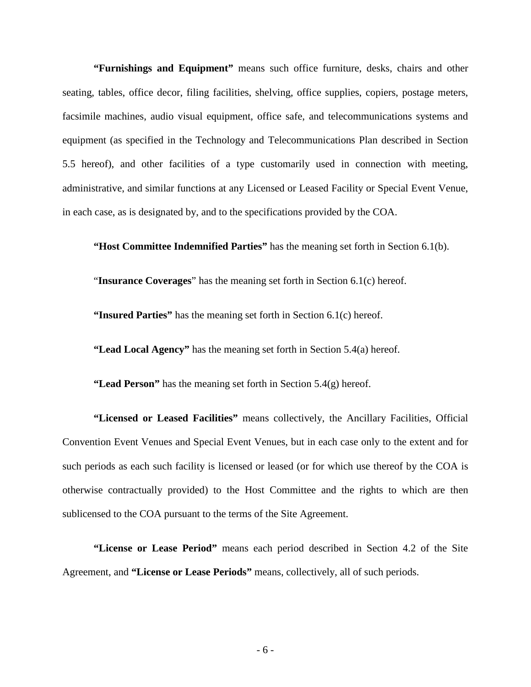**"Furnishings and Equipment"** means such office furniture, desks, chairs and other seating, tables, office decor, filing facilities, shelving, office supplies, copiers, postage meters, facsimile machines, audio visual equipment, office safe, and telecommunications systems and equipment (as specified in the Technology and Telecommunications Plan described in Section 5.5 hereof), and other facilities of a type customarily used in connection with meeting, administrative, and similar functions at any Licensed or Leased Facility or Special Event Venue, in each case, as is designated by, and to the specifications provided by the COA.

**"Host Committee Indemnified Parties"** has the meaning set forth in Section 6.1(b).

"**Insurance Coverages**" has the meaning set forth in Section 6.1(c) hereof.

**"Insured Parties"** has the meaning set forth in Section 6.1(c) hereof.

**"Lead Local Agency"** has the meaning set forth in Section 5.4(a) hereof.

**"Lead Person"** has the meaning set forth in Section 5.4(g) hereof.

**"Licensed or Leased Facilities"** means collectively, the Ancillary Facilities, Official Convention Event Venues and Special Event Venues, but in each case only to the extent and for such periods as each such facility is licensed or leased (or for which use thereof by the COA is otherwise contractually provided) to the Host Committee and the rights to which are then sublicensed to the COA pursuant to the terms of the Site Agreement.

**"License or Lease Period"** means each period described in Section 4.2 of the Site Agreement, and **"License or Lease Periods"** means, collectively, all of such periods.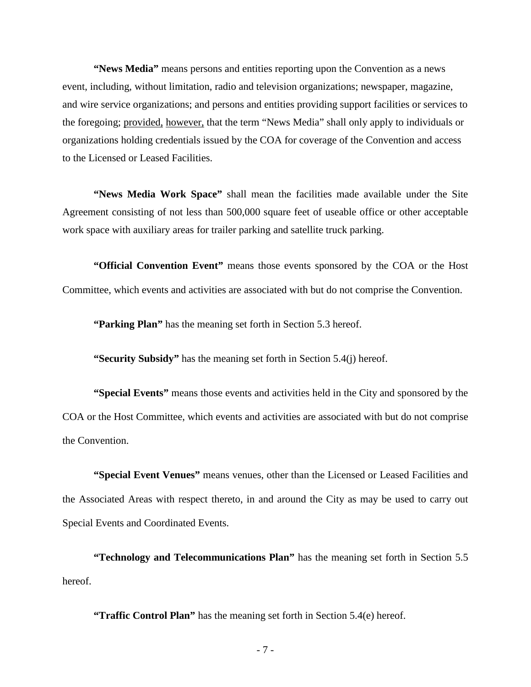**"News Media"** means persons and entities reporting upon the Convention as a news event, including, without limitation, radio and television organizations; newspaper, magazine, and wire service organizations; and persons and entities providing support facilities or services to the foregoing; provided, however, that the term "News Media" shall only apply to individuals or organizations holding credentials issued by the COA for coverage of the Convention and access to the Licensed or Leased Facilities.

**"News Media Work Space"** shall mean the facilities made available under the Site Agreement consisting of not less than 500,000 square feet of useable office or other acceptable work space with auxiliary areas for trailer parking and satellite truck parking.

**"Official Convention Event"** means those events sponsored by the COA or the Host Committee, which events and activities are associated with but do not comprise the Convention.

**"Parking Plan"** has the meaning set forth in Section 5.3 hereof.

**"Security Subsidy"** has the meaning set forth in Section 5.4(j) hereof.

**"Special Events"** means those events and activities held in the City and sponsored by the COA or the Host Committee, which events and activities are associated with but do not comprise the Convention.

**"Special Event Venues"** means venues, other than the Licensed or Leased Facilities and the Associated Areas with respect thereto, in and around the City as may be used to carry out Special Events and Coordinated Events.

**"Technology and Telecommunications Plan"** has the meaning set forth in Section 5.5 hereof.

**"Traffic Control Plan"** has the meaning set forth in Section 5.4(e) hereof.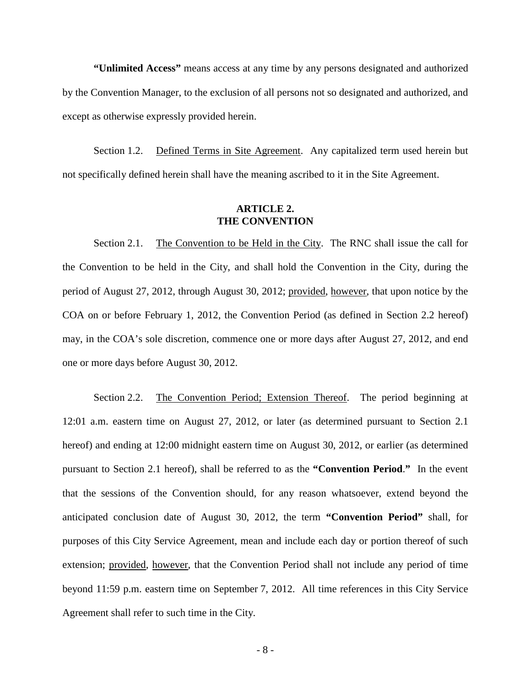**"Unlimited Access"** means access at any time by any persons designated and authorized by the Convention Manager, to the exclusion of all persons not so designated and authorized, and except as otherwise expressly provided herein.

Section 1.2. Defined Terms in Site Agreement. Any capitalized term used herein but not specifically defined herein shall have the meaning ascribed to it in the Site Agreement.

## **ARTICLE 2. THE CONVENTION**

Section 2.1. The Convention to be Held in the City. The RNC shall issue the call for the Convention to be held in the City, and shall hold the Convention in the City, during the period of August 27, 2012, through August 30, 2012; provided, however, that upon notice by the COA on or before February 1, 2012, the Convention Period (as defined in Section 2.2 hereof) may, in the COA's sole discretion, commence one or more days after August 27, 2012, and end one or more days before August 30, 2012.

Section 2.2. The Convention Period; Extension Thereof. The period beginning at 12:01 a.m. eastern time on August 27, 2012, or later (as determined pursuant to Section 2.1 hereof) and ending at 12:00 midnight eastern time on August 30, 2012, or earlier (as determined pursuant to Section 2.1 hereof), shall be referred to as the **"Convention Period**.**"** In the event that the sessions of the Convention should, for any reason whatsoever, extend beyond the anticipated conclusion date of August 30, 2012, the term **"Convention Period"** shall, for purposes of this City Service Agreement, mean and include each day or portion thereof of such extension; provided, however, that the Convention Period shall not include any period of time beyond 11:59 p.m. eastern time on September 7, 2012. All time references in this City Service Agreement shall refer to such time in the City.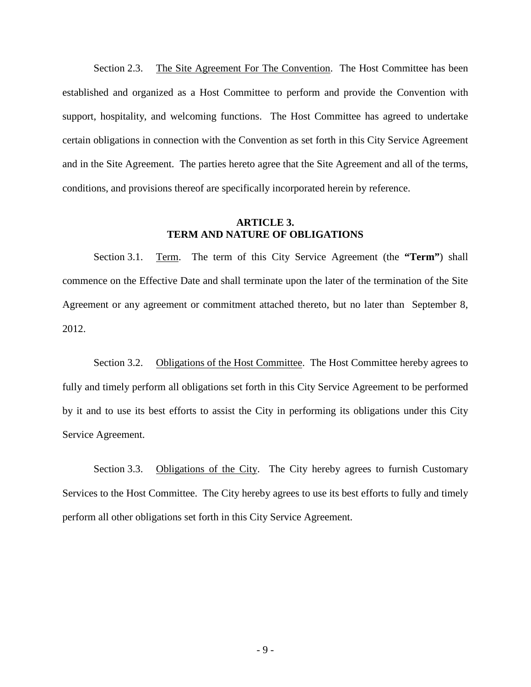Section 2.3. The Site Agreement For The Convention. The Host Committee has been established and organized as a Host Committee to perform and provide the Convention with support, hospitality, and welcoming functions. The Host Committee has agreed to undertake certain obligations in connection with the Convention as set forth in this City Service Agreement and in the Site Agreement. The parties hereto agree that the Site Agreement and all of the terms, conditions, and provisions thereof are specifically incorporated herein by reference.

## **ARTICLE 3. TERM AND NATURE OF OBLIGATIONS**

Section 3.1. Term. The term of this City Service Agreement (the **"Term"**) shall commence on the Effective Date and shall terminate upon the later of the termination of the Site Agreement or any agreement or commitment attached thereto, but no later than September 8, 2012.

Section 3.2. Obligations of the Host Committee. The Host Committee hereby agrees to fully and timely perform all obligations set forth in this City Service Agreement to be performed by it and to use its best efforts to assist the City in performing its obligations under this City Service Agreement.

Section 3.3. Obligations of the City. The City hereby agrees to furnish Customary Services to the Host Committee. The City hereby agrees to use its best efforts to fully and timely perform all other obligations set forth in this City Service Agreement.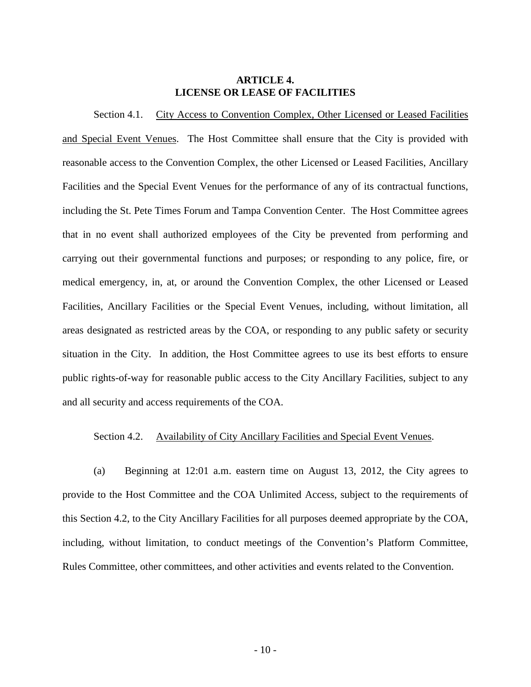## **ARTICLE 4. LICENSE OR LEASE OF FACILITIES**

Section 4.1. City Access to Convention Complex, Other Licensed or Leased Facilities and Special Event Venues. The Host Committee shall ensure that the City is provided with reasonable access to the Convention Complex, the other Licensed or Leased Facilities, Ancillary Facilities and the Special Event Venues for the performance of any of its contractual functions, including the St. Pete Times Forum and Tampa Convention Center. The Host Committee agrees that in no event shall authorized employees of the City be prevented from performing and carrying out their governmental functions and purposes; or responding to any police, fire, or medical emergency, in, at, or around the Convention Complex, the other Licensed or Leased Facilities, Ancillary Facilities or the Special Event Venues, including, without limitation, all areas designated as restricted areas by the COA, or responding to any public safety or security situation in the City. In addition, the Host Committee agrees to use its best efforts to ensure public rights-of-way for reasonable public access to the City Ancillary Facilities, subject to any and all security and access requirements of the COA.

# Section 4.2. Availability of City Ancillary Facilities and Special Event Venues.

(a) Beginning at 12:01 a.m. eastern time on August 13, 2012, the City agrees to provide to the Host Committee and the COA Unlimited Access, subject to the requirements of this Section 4.2, to the City Ancillary Facilities for all purposes deemed appropriate by the COA, including, without limitation, to conduct meetings of the Convention's Platform Committee, Rules Committee, other committees, and other activities and events related to the Convention.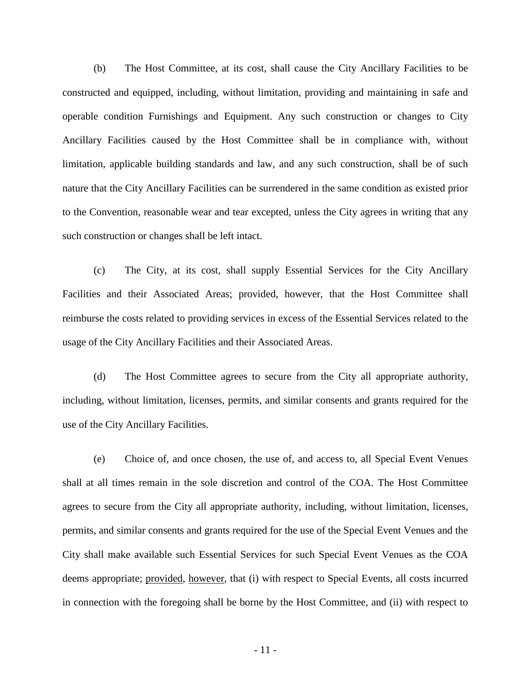(b) The Host Committee, at its cost, shall cause the City Ancillary Facilities to be constructed and equipped, including, without limitation, providing and maintaining in safe and operable condition Furnishings and Equipment. Any such construction or changes to City Ancillary Facilities caused by the Host Committee shall be in compliance with, without limitation, applicable building standards and law, and any such construction, shall be of such nature that the City Ancillary Facilities can be surrendered in the same condition as existed prior to the Convention, reasonable wear and tear excepted, unless the City agrees in writing that any such construction or changes shall be left intact.

(c) The City, at its cost, shall supply Essential Services for the City Ancillary Facilities and their Associated Areas; provided, however, that the Host Committee shall reimburse the costs related to providing services in excess of the Essential Services related to the usage of the City Ancillary Facilities and their Associated Areas.

(d) The Host Committee agrees to secure from the City all appropriate authority, including, without limitation, licenses, permits, and similar consents and grants required for the use of the City Ancillary Facilities.

(e) Choice of, and once chosen, the use of, and access to, all Special Event Venues shall at all times remain in the sole discretion and control of the COA. The Host Committee agrees to secure from the City all appropriate authority, including, without limitation, licenses, permits, and similar consents and grants required for the use of the Special Event Venues and the City shall make available such Essential Services for such Special Event Venues as the COA deems appropriate; provided, however, that (i) with respect to Special Events, all costs incurred in connection with the foregoing shall be borne by the Host Committee, and (ii) with respect to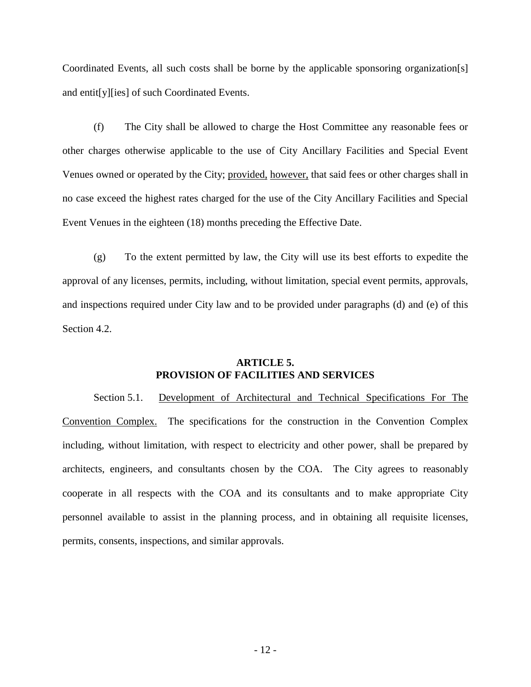Coordinated Events, all such costs shall be borne by the applicable sponsoring organization[s] and entit[y][ies] of such Coordinated Events.

(f) The City shall be allowed to charge the Host Committee any reasonable fees or other charges otherwise applicable to the use of City Ancillary Facilities and Special Event Venues owned or operated by the City; provided, however, that said fees or other charges shall in no case exceed the highest rates charged for the use of the City Ancillary Facilities and Special Event Venues in the eighteen (18) months preceding the Effective Date.

(g) To the extent permitted by law, the City will use its best efforts to expedite the approval of any licenses, permits, including, without limitation, special event permits, approvals, and inspections required under City law and to be provided under paragraphs (d) and (e) of this Section 4.2.

# **ARTICLE 5. PROVISION OF FACILITIES AND SERVICES**

Section 5.1. Development of Architectural and Technical Specifications For The Convention Complex. The specifications for the construction in the Convention Complex including, without limitation, with respect to electricity and other power, shall be prepared by architects, engineers, and consultants chosen by the COA. The City agrees to reasonably cooperate in all respects with the COA and its consultants and to make appropriate City personnel available to assist in the planning process, and in obtaining all requisite licenses, permits, consents, inspections, and similar approvals.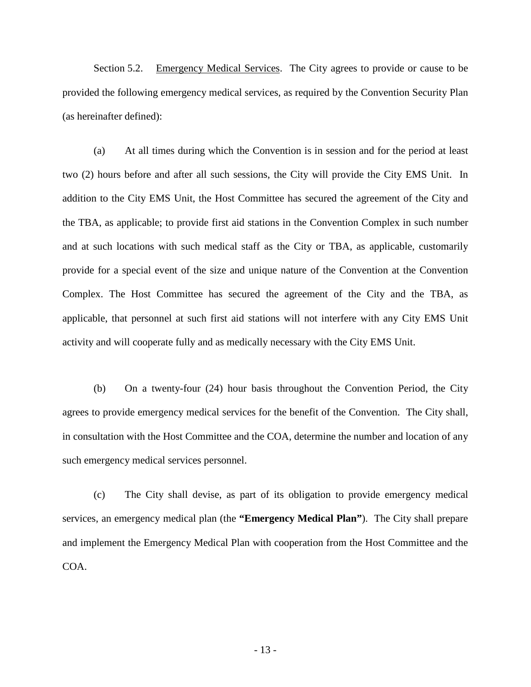Section 5.2. Emergency Medical Services. The City agrees to provide or cause to be provided the following emergency medical services, as required by the Convention Security Plan (as hereinafter defined):

(a) At all times during which the Convention is in session and for the period at least two (2) hours before and after all such sessions, the City will provide the City EMS Unit. In addition to the City EMS Unit, the Host Committee has secured the agreement of the City and the TBA, as applicable; to provide first aid stations in the Convention Complex in such number and at such locations with such medical staff as the City or TBA, as applicable, customarily provide for a special event of the size and unique nature of the Convention at the Convention Complex. The Host Committee has secured the agreement of the City and the TBA, as applicable, that personnel at such first aid stations will not interfere with any City EMS Unit activity and will cooperate fully and as medically necessary with the City EMS Unit.

(b) On a twenty-four (24) hour basis throughout the Convention Period, the City agrees to provide emergency medical services for the benefit of the Convention. The City shall, in consultation with the Host Committee and the COA, determine the number and location of any such emergency medical services personnel.

(c) The City shall devise, as part of its obligation to provide emergency medical services, an emergency medical plan (the **"Emergency Medical Plan"**). The City shall prepare and implement the Emergency Medical Plan with cooperation from the Host Committee and the COA.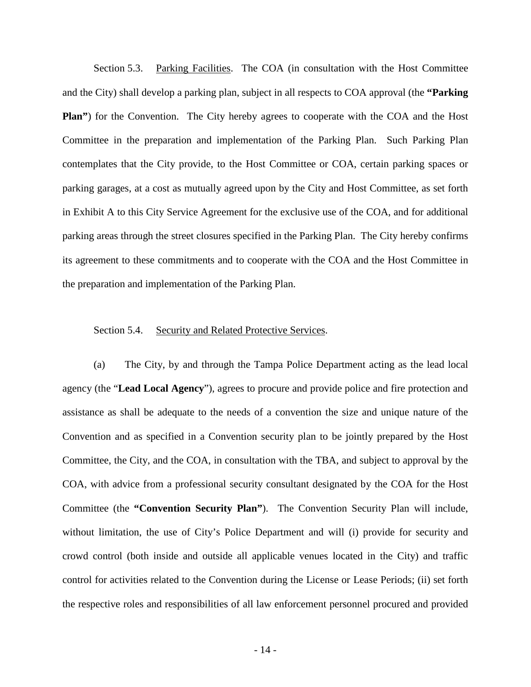Section 5.3. Parking Facilities. The COA (in consultation with the Host Committee and the City) shall develop a parking plan, subject in all respects to COA approval (the **"Parking Plan**") for the Convention. The City hereby agrees to cooperate with the COA and the Host Committee in the preparation and implementation of the Parking Plan. Such Parking Plan contemplates that the City provide, to the Host Committee or COA, certain parking spaces or parking garages, at a cost as mutually agreed upon by the City and Host Committee, as set forth in Exhibit A to this City Service Agreement for the exclusive use of the COA, and for additional parking areas through the street closures specified in the Parking Plan. The City hereby confirms its agreement to these commitments and to cooperate with the COA and the Host Committee in the preparation and implementation of the Parking Plan.

#### Section 5.4. Security and Related Protective Services.

(a) The City, by and through the Tampa Police Department acting as the lead local agency (the "**Lead Local Agency**"), agrees to procure and provide police and fire protection and assistance as shall be adequate to the needs of a convention the size and unique nature of the Convention and as specified in a Convention security plan to be jointly prepared by the Host Committee, the City, and the COA, in consultation with the TBA, and subject to approval by the COA, with advice from a professional security consultant designated by the COA for the Host Committee (the **"Convention Security Plan"**). The Convention Security Plan will include, without limitation, the use of City's Police Department and will (i) provide for security and crowd control (both inside and outside all applicable venues located in the City) and traffic control for activities related to the Convention during the License or Lease Periods; (ii) set forth the respective roles and responsibilities of all law enforcement personnel procured and provided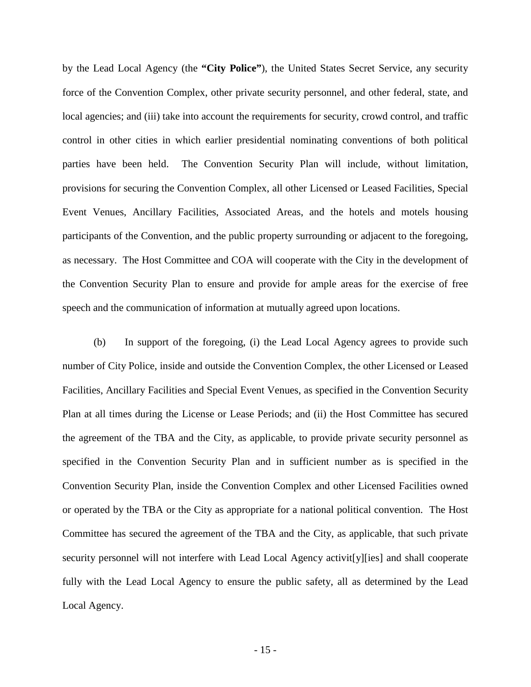by the Lead Local Agency (the **"City Police"**), the United States Secret Service, any security force of the Convention Complex, other private security personnel, and other federal, state, and local agencies; and (iii) take into account the requirements for security, crowd control, and traffic control in other cities in which earlier presidential nominating conventions of both political parties have been held. The Convention Security Plan will include, without limitation, provisions for securing the Convention Complex, all other Licensed or Leased Facilities, Special Event Venues, Ancillary Facilities, Associated Areas, and the hotels and motels housing participants of the Convention, and the public property surrounding or adjacent to the foregoing, as necessary. The Host Committee and COA will cooperate with the City in the development of the Convention Security Plan to ensure and provide for ample areas for the exercise of free speech and the communication of information at mutually agreed upon locations.

(b) In support of the foregoing, (i) the Lead Local Agency agrees to provide such number of City Police, inside and outside the Convention Complex, the other Licensed or Leased Facilities, Ancillary Facilities and Special Event Venues, as specified in the Convention Security Plan at all times during the License or Lease Periods; and (ii) the Host Committee has secured the agreement of the TBA and the City, as applicable, to provide private security personnel as specified in the Convention Security Plan and in sufficient number as is specified in the Convention Security Plan, inside the Convention Complex and other Licensed Facilities owned or operated by the TBA or the City as appropriate for a national political convention. The Host Committee has secured the agreement of the TBA and the City, as applicable, that such private security personnel will not interfere with Lead Local Agency activit[y][ies] and shall cooperate fully with the Lead Local Agency to ensure the public safety, all as determined by the Lead Local Agency.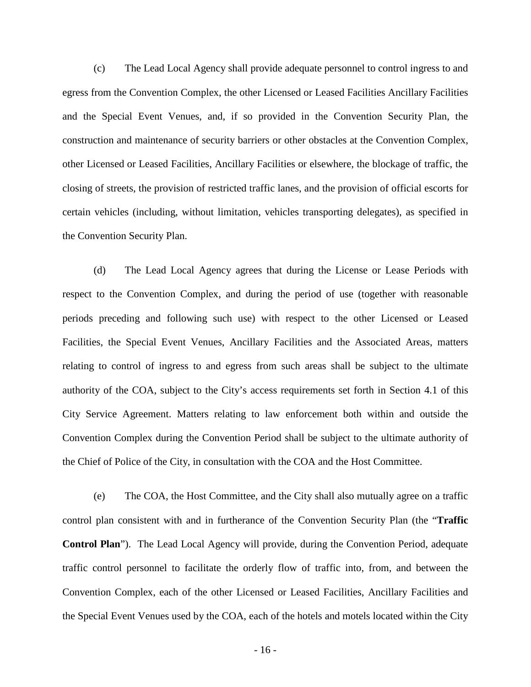(c) The Lead Local Agency shall provide adequate personnel to control ingress to and egress from the Convention Complex, the other Licensed or Leased Facilities Ancillary Facilities and the Special Event Venues, and, if so provided in the Convention Security Plan, the construction and maintenance of security barriers or other obstacles at the Convention Complex, other Licensed or Leased Facilities, Ancillary Facilities or elsewhere, the blockage of traffic, the closing of streets, the provision of restricted traffic lanes, and the provision of official escorts for certain vehicles (including, without limitation, vehicles transporting delegates), as specified in the Convention Security Plan.

(d) The Lead Local Agency agrees that during the License or Lease Periods with respect to the Convention Complex, and during the period of use (together with reasonable periods preceding and following such use) with respect to the other Licensed or Leased Facilities, the Special Event Venues, Ancillary Facilities and the Associated Areas, matters relating to control of ingress to and egress from such areas shall be subject to the ultimate authority of the COA, subject to the City's access requirements set forth in Section 4.1 of this City Service Agreement. Matters relating to law enforcement both within and outside the Convention Complex during the Convention Period shall be subject to the ultimate authority of the Chief of Police of the City, in consultation with the COA and the Host Committee.

(e) The COA, the Host Committee, and the City shall also mutually agree on a traffic control plan consistent with and in furtherance of the Convention Security Plan (the "**Traffic Control Plan**"). The Lead Local Agency will provide, during the Convention Period, adequate traffic control personnel to facilitate the orderly flow of traffic into, from, and between the Convention Complex, each of the other Licensed or Leased Facilities, Ancillary Facilities and the Special Event Venues used by the COA, each of the hotels and motels located within the City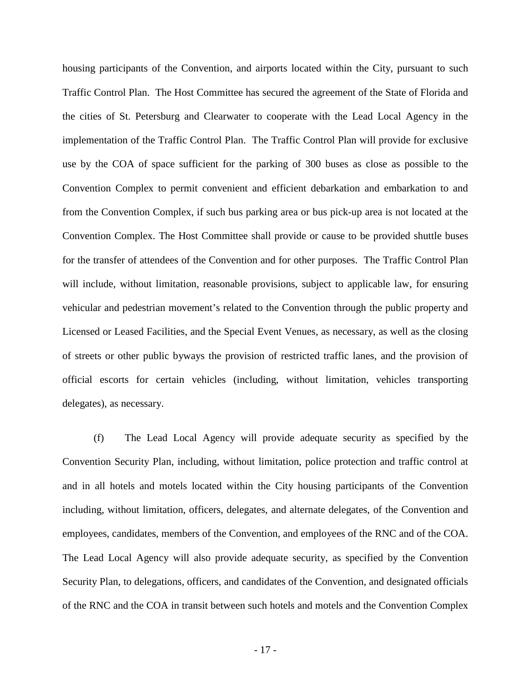housing participants of the Convention, and airports located within the City, pursuant to such Traffic Control Plan. The Host Committee has secured the agreement of the State of Florida and the cities of St. Petersburg and Clearwater to cooperate with the Lead Local Agency in the implementation of the Traffic Control Plan. The Traffic Control Plan will provide for exclusive use by the COA of space sufficient for the parking of 300 buses as close as possible to the Convention Complex to permit convenient and efficient debarkation and embarkation to and from the Convention Complex, if such bus parking area or bus pick-up area is not located at the Convention Complex. The Host Committee shall provide or cause to be provided shuttle buses for the transfer of attendees of the Convention and for other purposes. The Traffic Control Plan will include, without limitation, reasonable provisions, subject to applicable law, for ensuring vehicular and pedestrian movement's related to the Convention through the public property and Licensed or Leased Facilities, and the Special Event Venues, as necessary, as well as the closing of streets or other public byways the provision of restricted traffic lanes, and the provision of official escorts for certain vehicles (including, without limitation, vehicles transporting delegates), as necessary.

(f) The Lead Local Agency will provide adequate security as specified by the Convention Security Plan, including, without limitation, police protection and traffic control at and in all hotels and motels located within the City housing participants of the Convention including, without limitation, officers, delegates, and alternate delegates, of the Convention and employees, candidates, members of the Convention, and employees of the RNC and of the COA. The Lead Local Agency will also provide adequate security, as specified by the Convention Security Plan, to delegations, officers, and candidates of the Convention, and designated officials of the RNC and the COA in transit between such hotels and motels and the Convention Complex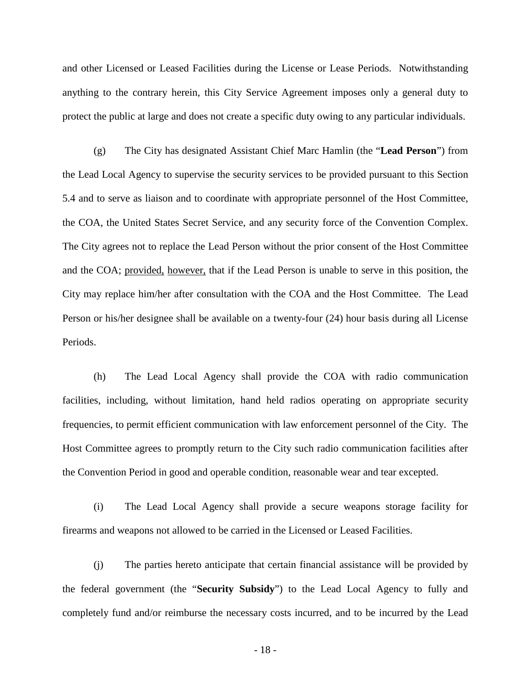and other Licensed or Leased Facilities during the License or Lease Periods. Notwithstanding anything to the contrary herein, this City Service Agreement imposes only a general duty to protect the public at large and does not create a specific duty owing to any particular individuals.

(g) The City has designated Assistant Chief Marc Hamlin (the "**Lead Person**") from the Lead Local Agency to supervise the security services to be provided pursuant to this Section 5.4 and to serve as liaison and to coordinate with appropriate personnel of the Host Committee, the COA, the United States Secret Service, and any security force of the Convention Complex. The City agrees not to replace the Lead Person without the prior consent of the Host Committee and the COA; provided, however, that if the Lead Person is unable to serve in this position, the City may replace him/her after consultation with the COA and the Host Committee. The Lead Person or his/her designee shall be available on a twenty-four (24) hour basis during all License Periods.

(h) The Lead Local Agency shall provide the COA with radio communication facilities, including, without limitation, hand held radios operating on appropriate security frequencies, to permit efficient communication with law enforcement personnel of the City. The Host Committee agrees to promptly return to the City such radio communication facilities after the Convention Period in good and operable condition, reasonable wear and tear excepted.

(i) The Lead Local Agency shall provide a secure weapons storage facility for firearms and weapons not allowed to be carried in the Licensed or Leased Facilities.

(j) The parties hereto anticipate that certain financial assistance will be provided by the federal government (the "**Security Subsidy**") to the Lead Local Agency to fully and completely fund and/or reimburse the necessary costs incurred, and to be incurred by the Lead

- 18 -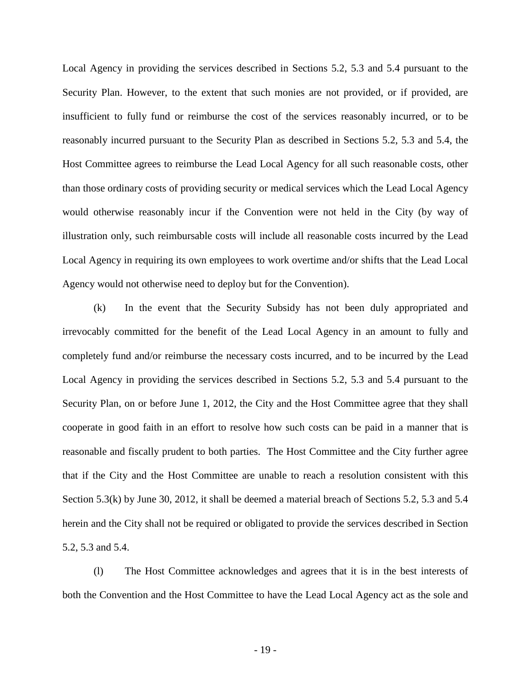Local Agency in providing the services described in Sections 5.2, 5.3 and 5.4 pursuant to the Security Plan. However, to the extent that such monies are not provided, or if provided, are insufficient to fully fund or reimburse the cost of the services reasonably incurred, or to be reasonably incurred pursuant to the Security Plan as described in Sections 5.2, 5.3 and 5.4, the Host Committee agrees to reimburse the Lead Local Agency for all such reasonable costs, other than those ordinary costs of providing security or medical services which the Lead Local Agency would otherwise reasonably incur if the Convention were not held in the City (by way of illustration only, such reimbursable costs will include all reasonable costs incurred by the Lead Local Agency in requiring its own employees to work overtime and/or shifts that the Lead Local Agency would not otherwise need to deploy but for the Convention).

(k) In the event that the Security Subsidy has not been duly appropriated and irrevocably committed for the benefit of the Lead Local Agency in an amount to fully and completely fund and/or reimburse the necessary costs incurred, and to be incurred by the Lead Local Agency in providing the services described in Sections 5.2, 5.3 and 5.4 pursuant to the Security Plan, on or before June 1, 2012, the City and the Host Committee agree that they shall cooperate in good faith in an effort to resolve how such costs can be paid in a manner that is reasonable and fiscally prudent to both parties. The Host Committee and the City further agree that if the City and the Host Committee are unable to reach a resolution consistent with this Section 5.3(k) by June 30, 2012, it shall be deemed a material breach of Sections 5.2, 5.3 and 5.4 herein and the City shall not be required or obligated to provide the services described in Section 5.2, 5.3 and 5.4.

(l) The Host Committee acknowledges and agrees that it is in the best interests of both the Convention and the Host Committee to have the Lead Local Agency act as the sole and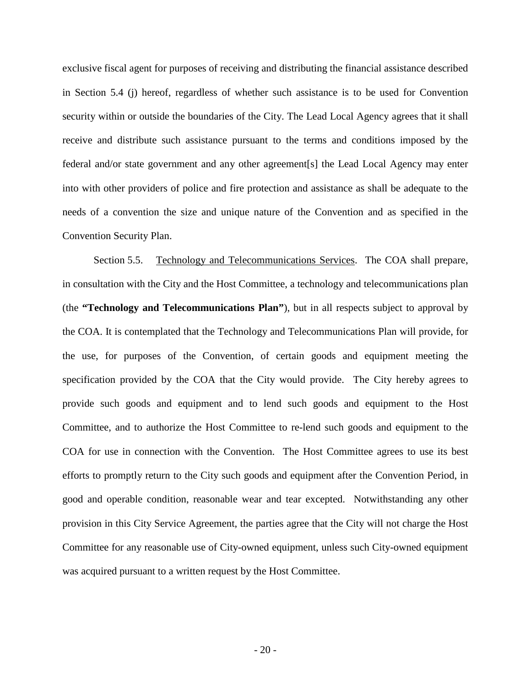exclusive fiscal agent for purposes of receiving and distributing the financial assistance described in Section 5.4 (j) hereof, regardless of whether such assistance is to be used for Convention security within or outside the boundaries of the City. The Lead Local Agency agrees that it shall receive and distribute such assistance pursuant to the terms and conditions imposed by the federal and/or state government and any other agreement[s] the Lead Local Agency may enter into with other providers of police and fire protection and assistance as shall be adequate to the needs of a convention the size and unique nature of the Convention and as specified in the Convention Security Plan.

Section 5.5. Technology and Telecommunications Services. The COA shall prepare, in consultation with the City and the Host Committee, a technology and telecommunications plan (the **"Technology and Telecommunications Plan"**), but in all respects subject to approval by the COA. It is contemplated that the Technology and Telecommunications Plan will provide, for the use, for purposes of the Convention, of certain goods and equipment meeting the specification provided by the COA that the City would provide. The City hereby agrees to provide such goods and equipment and to lend such goods and equipment to the Host Committee, and to authorize the Host Committee to re-lend such goods and equipment to the COA for use in connection with the Convention. The Host Committee agrees to use its best efforts to promptly return to the City such goods and equipment after the Convention Period, in good and operable condition, reasonable wear and tear excepted. Notwithstanding any other provision in this City Service Agreement, the parties agree that the City will not charge the Host Committee for any reasonable use of City-owned equipment, unless such City-owned equipment was acquired pursuant to a written request by the Host Committee.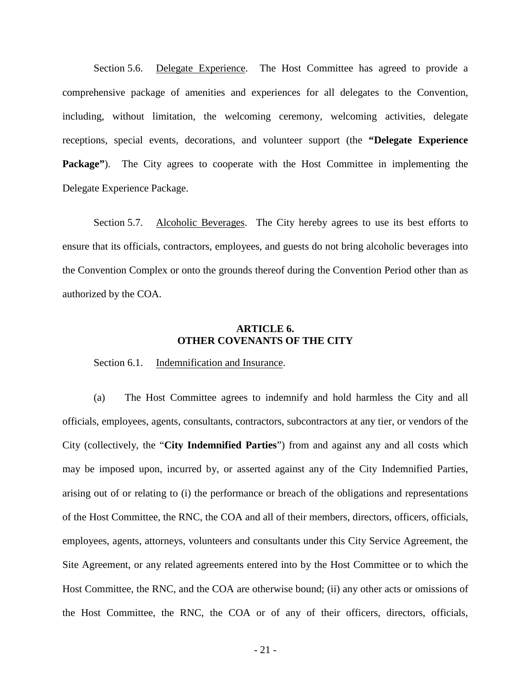Section 5.6. Delegate Experience. The Host Committee has agreed to provide a comprehensive package of amenities and experiences for all delegates to the Convention, including, without limitation, the welcoming ceremony, welcoming activities, delegate receptions, special events, decorations, and volunteer support (the **"Delegate Experience Package**"). The City agrees to cooperate with the Host Committee in implementing the Delegate Experience Package.

Section 5.7. Alcoholic Beverages. The City hereby agrees to use its best efforts to ensure that its officials, contractors, employees, and guests do not bring alcoholic beverages into the Convention Complex or onto the grounds thereof during the Convention Period other than as authorized by the COA.

# **ARTICLE 6. OTHER COVENANTS OF THE CITY**

Section 6.1. Indemnification and Insurance.

(a) The Host Committee agrees to indemnify and hold harmless the City and all officials, employees, agents, consultants, contractors, subcontractors at any tier, or vendors of the City (collectively, the "**City Indemnified Parties**") from and against any and all costs which may be imposed upon, incurred by, or asserted against any of the City Indemnified Parties, arising out of or relating to (i) the performance or breach of the obligations and representations of the Host Committee, the RNC, the COA and all of their members, directors, officers, officials, employees, agents, attorneys, volunteers and consultants under this City Service Agreement, the Site Agreement, or any related agreements entered into by the Host Committee or to which the Host Committee, the RNC, and the COA are otherwise bound; (ii) any other acts or omissions of the Host Committee, the RNC, the COA or of any of their officers, directors, officials,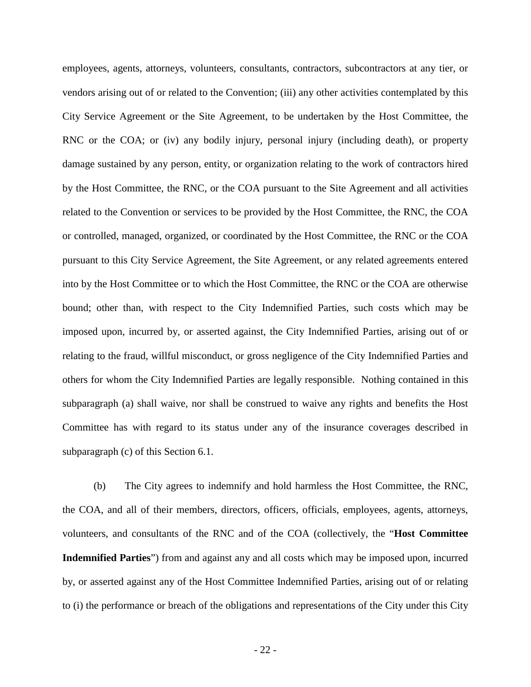employees, agents, attorneys, volunteers, consultants, contractors, subcontractors at any tier, or vendors arising out of or related to the Convention; (iii) any other activities contemplated by this City Service Agreement or the Site Agreement, to be undertaken by the Host Committee, the RNC or the COA; or (iv) any bodily injury, personal injury (including death), or property damage sustained by any person, entity, or organization relating to the work of contractors hired by the Host Committee, the RNC, or the COA pursuant to the Site Agreement and all activities related to the Convention or services to be provided by the Host Committee, the RNC, the COA or controlled, managed, organized, or coordinated by the Host Committee, the RNC or the COA pursuant to this City Service Agreement, the Site Agreement, or any related agreements entered into by the Host Committee or to which the Host Committee, the RNC or the COA are otherwise bound; other than, with respect to the City Indemnified Parties, such costs which may be imposed upon, incurred by, or asserted against, the City Indemnified Parties, arising out of or relating to the fraud, willful misconduct, or gross negligence of the City Indemnified Parties and others for whom the City Indemnified Parties are legally responsible. Nothing contained in this subparagraph (a) shall waive, nor shall be construed to waive any rights and benefits the Host Committee has with regard to its status under any of the insurance coverages described in subparagraph (c) of this Section 6.1.

(b) The City agrees to indemnify and hold harmless the Host Committee, the RNC, the COA, and all of their members, directors, officers, officials, employees, agents, attorneys, volunteers, and consultants of the RNC and of the COA (collectively, the "**Host Committee Indemnified Parties**") from and against any and all costs which may be imposed upon, incurred by, or asserted against any of the Host Committee Indemnified Parties, arising out of or relating to (i) the performance or breach of the obligations and representations of the City under this City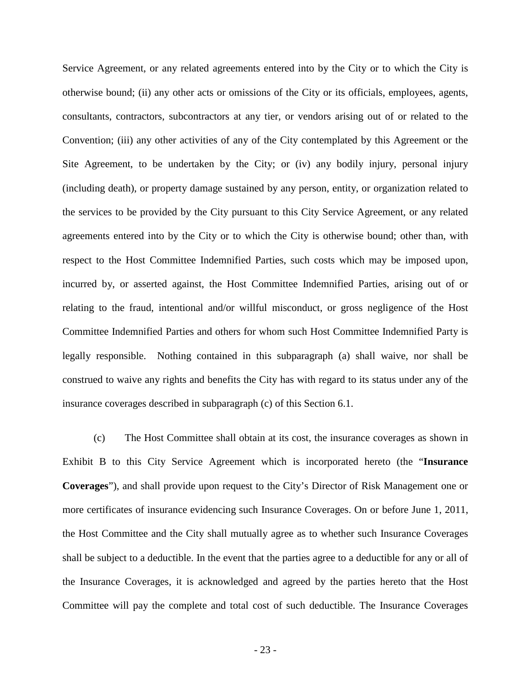Service Agreement, or any related agreements entered into by the City or to which the City is otherwise bound; (ii) any other acts or omissions of the City or its officials, employees, agents, consultants, contractors, subcontractors at any tier, or vendors arising out of or related to the Convention; (iii) any other activities of any of the City contemplated by this Agreement or the Site Agreement, to be undertaken by the City; or (iv) any bodily injury, personal injury (including death), or property damage sustained by any person, entity, or organization related to the services to be provided by the City pursuant to this City Service Agreement, or any related agreements entered into by the City or to which the City is otherwise bound; other than, with respect to the Host Committee Indemnified Parties, such costs which may be imposed upon, incurred by, or asserted against, the Host Committee Indemnified Parties, arising out of or relating to the fraud, intentional and/or willful misconduct, or gross negligence of the Host Committee Indemnified Parties and others for whom such Host Committee Indemnified Party is legally responsible. Nothing contained in this subparagraph (a) shall waive, nor shall be construed to waive any rights and benefits the City has with regard to its status under any of the insurance coverages described in subparagraph (c) of this Section 6.1.

(c) The Host Committee shall obtain at its cost, the insurance coverages as shown in Exhibit B to this City Service Agreement which is incorporated hereto (the "**Insurance Coverages**"), and shall provide upon request to the City's Director of Risk Management one or more certificates of insurance evidencing such Insurance Coverages. On or before June 1, 2011, the Host Committee and the City shall mutually agree as to whether such Insurance Coverages shall be subject to a deductible. In the event that the parties agree to a deductible for any or all of the Insurance Coverages, it is acknowledged and agreed by the parties hereto that the Host Committee will pay the complete and total cost of such deductible. The Insurance Coverages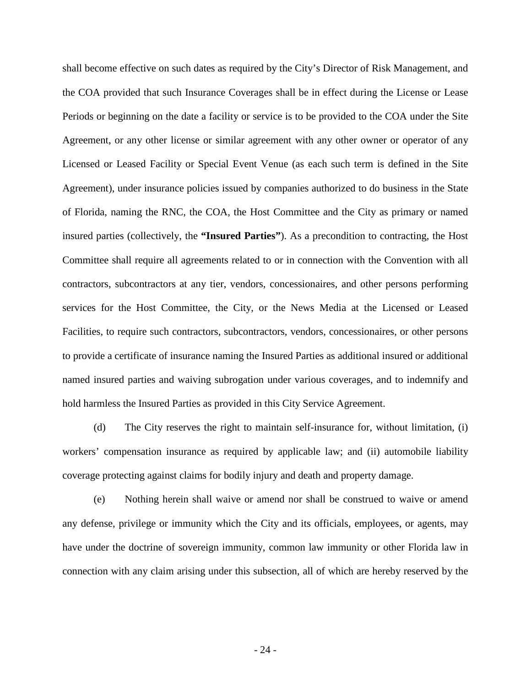shall become effective on such dates as required by the City's Director of Risk Management, and the COA provided that such Insurance Coverages shall be in effect during the License or Lease Periods or beginning on the date a facility or service is to be provided to the COA under the Site Agreement, or any other license or similar agreement with any other owner or operator of any Licensed or Leased Facility or Special Event Venue (as each such term is defined in the Site Agreement), under insurance policies issued by companies authorized to do business in the State of Florida, naming the RNC, the COA, the Host Committee and the City as primary or named insured parties (collectively, the **"Insured Parties"**). As a precondition to contracting, the Host Committee shall require all agreements related to or in connection with the Convention with all contractors, subcontractors at any tier, vendors, concessionaires, and other persons performing services for the Host Committee, the City, or the News Media at the Licensed or Leased Facilities, to require such contractors, subcontractors, vendors, concessionaires, or other persons to provide a certificate of insurance naming the Insured Parties as additional insured or additional named insured parties and waiving subrogation under various coverages, and to indemnify and hold harmless the Insured Parties as provided in this City Service Agreement.

(d) The City reserves the right to maintain self-insurance for, without limitation, (i) workers' compensation insurance as required by applicable law; and (ii) automobile liability coverage protecting against claims for bodily injury and death and property damage.

(e) Nothing herein shall waive or amend nor shall be construed to waive or amend any defense, privilege or immunity which the City and its officials, employees, or agents, may have under the doctrine of sovereign immunity, common law immunity or other Florida law in connection with any claim arising under this subsection, all of which are hereby reserved by the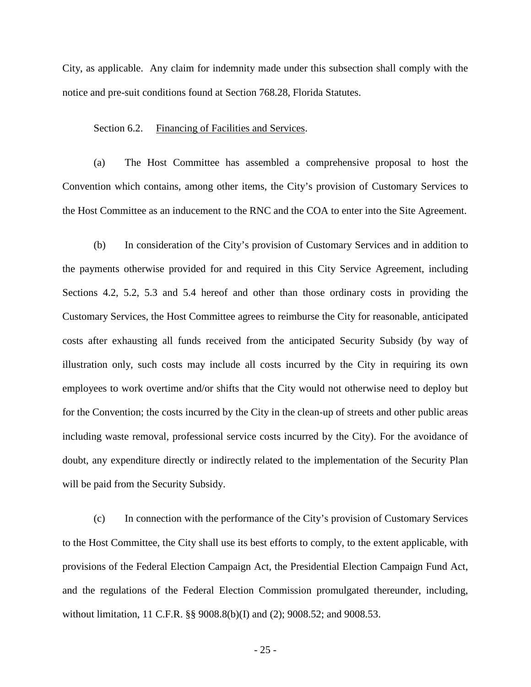City, as applicable. Any claim for indemnity made under this subsection shall comply with the notice and pre-suit conditions found at Section 768.28, Florida Statutes.

#### Section 6.2. Financing of Facilities and Services.

(a) The Host Committee has assembled a comprehensive proposal to host the Convention which contains, among other items, the City's provision of Customary Services to the Host Committee as an inducement to the RNC and the COA to enter into the Site Agreement.

(b) In consideration of the City's provision of Customary Services and in addition to the payments otherwise provided for and required in this City Service Agreement, including Sections 4.2, 5.2, 5.3 and 5.4 hereof and other than those ordinary costs in providing the Customary Services, the Host Committee agrees to reimburse the City for reasonable, anticipated costs after exhausting all funds received from the anticipated Security Subsidy (by way of illustration only, such costs may include all costs incurred by the City in requiring its own employees to work overtime and/or shifts that the City would not otherwise need to deploy but for the Convention; the costs incurred by the City in the clean-up of streets and other public areas including waste removal, professional service costs incurred by the City). For the avoidance of doubt, any expenditure directly or indirectly related to the implementation of the Security Plan will be paid from the Security Subsidy.

(c) In connection with the performance of the City's provision of Customary Services to the Host Committee, the City shall use its best efforts to comply, to the extent applicable, with provisions of the Federal Election Campaign Act, the Presidential Election Campaign Fund Act, and the regulations of the Federal Election Commission promulgated thereunder, including, without limitation, 11 C.F.R. §§ 9008.8(b)(I) and (2); 9008.52; and 9008.53.

- 25 -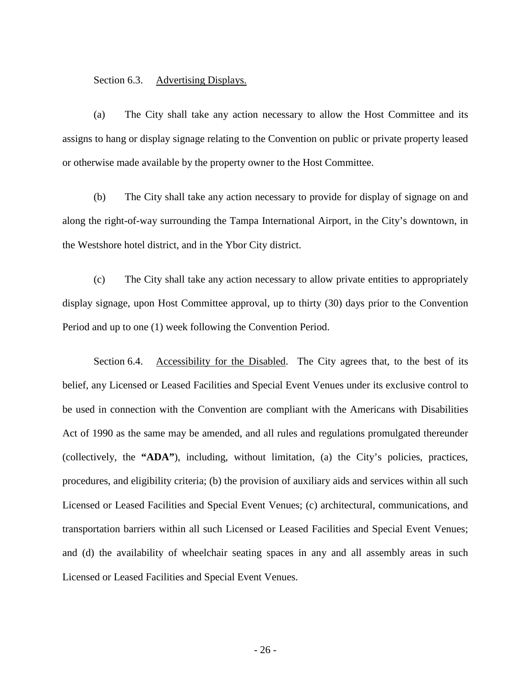Section 6.3. Advertising Displays.

(a) The City shall take any action necessary to allow the Host Committee and its assigns to hang or display signage relating to the Convention on public or private property leased or otherwise made available by the property owner to the Host Committee.

(b) The City shall take any action necessary to provide for display of signage on and along the right-of-way surrounding the Tampa International Airport, in the City's downtown, in the Westshore hotel district, and in the Ybor City district.

(c) The City shall take any action necessary to allow private entities to appropriately display signage, upon Host Committee approval, up to thirty (30) days prior to the Convention Period and up to one (1) week following the Convention Period.

Section 6.4. Accessibility for the Disabled. The City agrees that, to the best of its belief, any Licensed or Leased Facilities and Special Event Venues under its exclusive control to be used in connection with the Convention are compliant with the Americans with Disabilities Act of 1990 as the same may be amended, and all rules and regulations promulgated thereunder (collectively, the **"ADA"**), including, without limitation, (a) the City's policies, practices, procedures, and eligibility criteria; (b) the provision of auxiliary aids and services within all such Licensed or Leased Facilities and Special Event Venues; (c) architectural, communications, and transportation barriers within all such Licensed or Leased Facilities and Special Event Venues; and (d) the availability of wheelchair seating spaces in any and all assembly areas in such Licensed or Leased Facilities and Special Event Venues.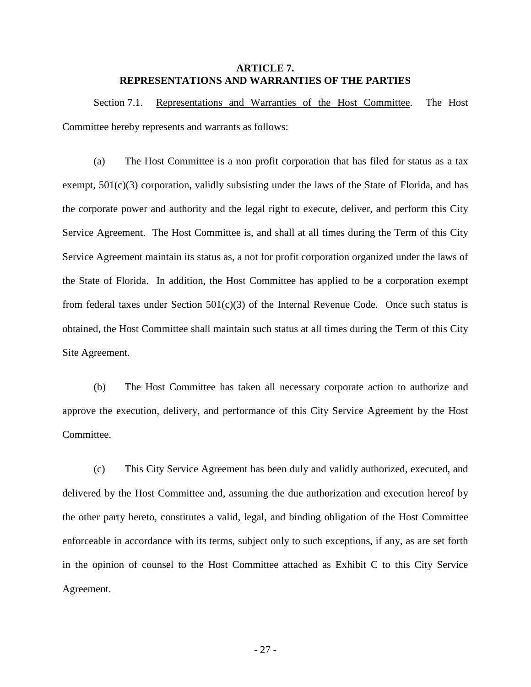# **ARTICLE 7. REPRESENTATIONS AND WARRANTIES OF THE PARTIES**

Section 7.1. Representations and Warranties of the Host Committee. The Host Committee hereby represents and warrants as follows:

(a) The Host Committee is a non profit corporation that has filed for status as a tax exempt,  $501(c)(3)$  corporation, validly subsisting under the laws of the State of Florida, and has the corporate power and authority and the legal right to execute, deliver, and perform this City Service Agreement. The Host Committee is, and shall at all times during the Term of this City Service Agreement maintain its status as, a not for profit corporation organized under the laws of the State of Florida. In addition, the Host Committee has applied to be a corporation exempt from federal taxes under Section  $501(c)(3)$  of the Internal Revenue Code. Once such status is obtained, the Host Committee shall maintain such status at all times during the Term of this City Site Agreement.

(b) The Host Committee has taken all necessary corporate action to authorize and approve the execution, delivery, and performance of this City Service Agreement by the Host Committee.

(c) This City Service Agreement has been duly and validly authorized, executed, and delivered by the Host Committee and, assuming the due authorization and execution hereof by the other party hereto, constitutes a valid, legal, and binding obligation of the Host Committee enforceable in accordance with its terms, subject only to such exceptions, if any, as are set forth in the opinion of counsel to the Host Committee attached as Exhibit C to this City Service Agreement.

- 27 -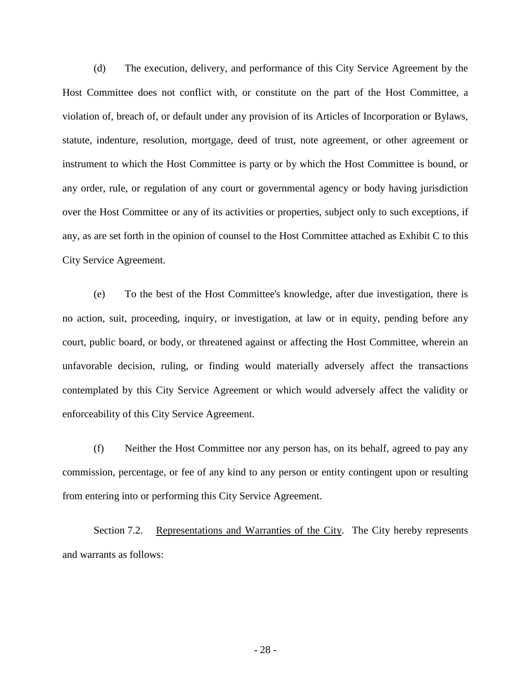(d) The execution, delivery, and performance of this City Service Agreement by the Host Committee does not conflict with, or constitute on the part of the Host Committee, a violation of, breach of, or default under any provision of its Articles of Incorporation or Bylaws, statute, indenture, resolution, mortgage, deed of trust, note agreement, or other agreement or instrument to which the Host Committee is party or by which the Host Committee is bound, or any order, rule, or regulation of any court or governmental agency or body having jurisdiction over the Host Committee or any of its activities or properties, subject only to such exceptions, if any, as are set forth in the opinion of counsel to the Host Committee attached as Exhibit C to this City Service Agreement.

(e) To the best of the Host Committee's knowledge, after due investigation, there is no action, suit, proceeding, inquiry, or investigation, at law or in equity, pending before any court, public board, or body, or threatened against or affecting the Host Committee, wherein an unfavorable decision, ruling, or finding would materially adversely affect the transactions contemplated by this City Service Agreement or which would adversely affect the validity or enforceability of this City Service Agreement.

(f) Neither the Host Committee nor any person has, on its behalf, agreed to pay any commission, percentage, or fee of any kind to any person or entity contingent upon or resulting from entering into or performing this City Service Agreement.

Section 7.2. Representations and Warranties of the City. The City hereby represents and warrants as follows: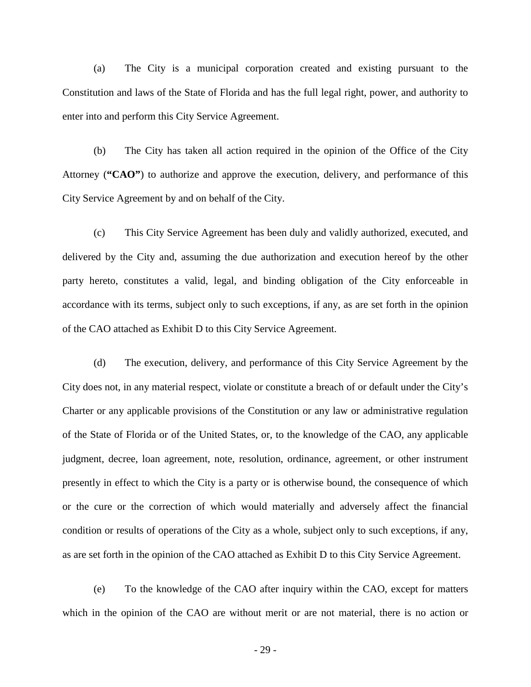(a) The City is a municipal corporation created and existing pursuant to the Constitution and laws of the State of Florida and has the full legal right, power, and authority to enter into and perform this City Service Agreement.

(b) The City has taken all action required in the opinion of the Office of the City Attorney (**"CAO"**) to authorize and approve the execution, delivery, and performance of this City Service Agreement by and on behalf of the City.

(c) This City Service Agreement has been duly and validly authorized, executed, and delivered by the City and, assuming the due authorization and execution hereof by the other party hereto, constitutes a valid, legal, and binding obligation of the City enforceable in accordance with its terms, subject only to such exceptions, if any, as are set forth in the opinion of the CAO attached as Exhibit D to this City Service Agreement.

(d) The execution, delivery, and performance of this City Service Agreement by the City does not, in any material respect, violate or constitute a breach of or default under the City's Charter or any applicable provisions of the Constitution or any law or administrative regulation of the State of Florida or of the United States, or, to the knowledge of the CAO, any applicable judgment, decree, loan agreement, note, resolution, ordinance, agreement, or other instrument presently in effect to which the City is a party or is otherwise bound, the consequence of which or the cure or the correction of which would materially and adversely affect the financial condition or results of operations of the City as a whole, subject only to such exceptions, if any, as are set forth in the opinion of the CAO attached as Exhibit D to this City Service Agreement.

(e) To the knowledge of the CAO after inquiry within the CAO, except for matters which in the opinion of the CAO are without merit or are not material, there is no action or

- 29 -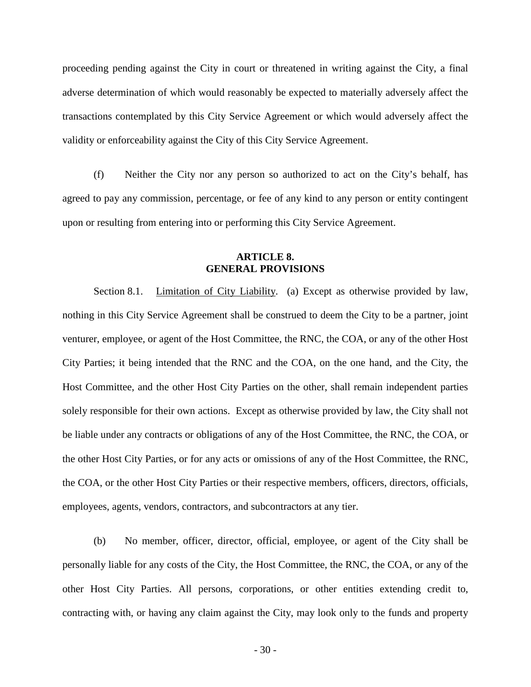proceeding pending against the City in court or threatened in writing against the City, a final adverse determination of which would reasonably be expected to materially adversely affect the transactions contemplated by this City Service Agreement or which would adversely affect the validity or enforceability against the City of this City Service Agreement.

(f) Neither the City nor any person so authorized to act on the City's behalf, has agreed to pay any commission, percentage, or fee of any kind to any person or entity contingent upon or resulting from entering into or performing this City Service Agreement.

# **ARTICLE 8. GENERAL PROVISIONS**

Section 8.1. Limitation of City Liability. (a) Except as otherwise provided by law, nothing in this City Service Agreement shall be construed to deem the City to be a partner, joint venturer, employee, or agent of the Host Committee, the RNC, the COA, or any of the other Host City Parties; it being intended that the RNC and the COA, on the one hand, and the City, the Host Committee, and the other Host City Parties on the other, shall remain independent parties solely responsible for their own actions. Except as otherwise provided by law, the City shall not be liable under any contracts or obligations of any of the Host Committee, the RNC, the COA, or the other Host City Parties, or for any acts or omissions of any of the Host Committee, the RNC, the COA, or the other Host City Parties or their respective members, officers, directors, officials, employees, agents, vendors, contractors, and subcontractors at any tier.

(b) No member, officer, director, official, employee, or agent of the City shall be personally liable for any costs of the City, the Host Committee, the RNC, the COA, or any of the other Host City Parties. All persons, corporations, or other entities extending credit to, contracting with, or having any claim against the City, may look only to the funds and property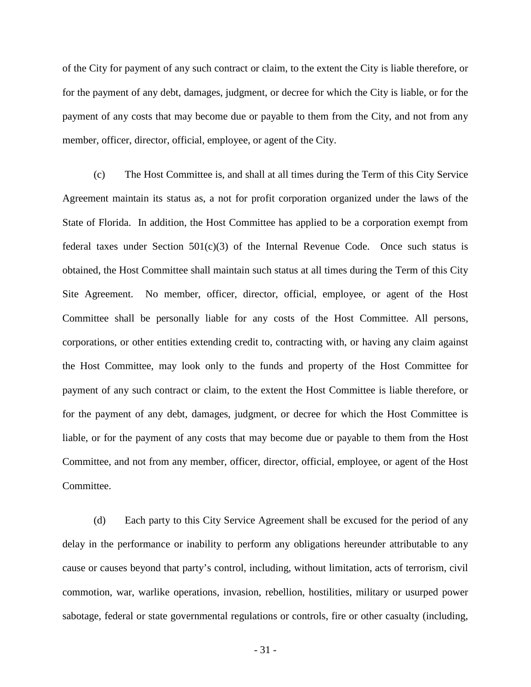of the City for payment of any such contract or claim, to the extent the City is liable therefore, or for the payment of any debt, damages, judgment, or decree for which the City is liable, or for the payment of any costs that may become due or payable to them from the City, and not from any member, officer, director, official, employee, or agent of the City.

(c) The Host Committee is, and shall at all times during the Term of this City Service Agreement maintain its status as, a not for profit corporation organized under the laws of the State of Florida. In addition, the Host Committee has applied to be a corporation exempt from federal taxes under Section  $501(c)(3)$  of the Internal Revenue Code. Once such status is obtained, the Host Committee shall maintain such status at all times during the Term of this City Site Agreement. No member, officer, director, official, employee, or agent of the Host Committee shall be personally liable for any costs of the Host Committee. All persons, corporations, or other entities extending credit to, contracting with, or having any claim against the Host Committee, may look only to the funds and property of the Host Committee for payment of any such contract or claim, to the extent the Host Committee is liable therefore, or for the payment of any debt, damages, judgment, or decree for which the Host Committee is liable, or for the payment of any costs that may become due or payable to them from the Host Committee, and not from any member, officer, director, official, employee, or agent of the Host Committee.

(d) Each party to this City Service Agreement shall be excused for the period of any delay in the performance or inability to perform any obligations hereunder attributable to any cause or causes beyond that party's control, including, without limitation, acts of terrorism, civil commotion, war, warlike operations, invasion, rebellion, hostilities, military or usurped power sabotage, federal or state governmental regulations or controls, fire or other casualty (including,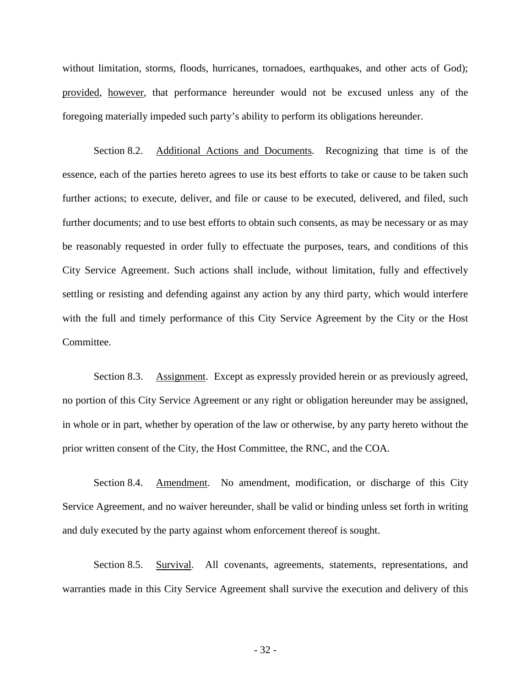without limitation, storms, floods, hurricanes, tornadoes, earthquakes, and other acts of God); provided, however, that performance hereunder would not be excused unless any of the foregoing materially impeded such party's ability to perform its obligations hereunder.

Section 8.2. Additional Actions and Documents. Recognizing that time is of the essence, each of the parties hereto agrees to use its best efforts to take or cause to be taken such further actions; to execute, deliver, and file or cause to be executed, delivered, and filed, such further documents; and to use best efforts to obtain such consents, as may be necessary or as may be reasonably requested in order fully to effectuate the purposes, tears, and conditions of this City Service Agreement. Such actions shall include, without limitation, fully and effectively settling or resisting and defending against any action by any third party, which would interfere with the full and timely performance of this City Service Agreement by the City or the Host Committee.

Section 8.3. Assignment. Except as expressly provided herein or as previously agreed, no portion of this City Service Agreement or any right or obligation hereunder may be assigned, in whole or in part, whether by operation of the law or otherwise, by any party hereto without the prior written consent of the City, the Host Committee, the RNC, and the COA.

Section 8.4. Amendment. No amendment, modification, or discharge of this City Service Agreement, and no waiver hereunder, shall be valid or binding unless set forth in writing and duly executed by the party against whom enforcement thereof is sought.

Section 8.5. Survival. All covenants, agreements, statements, representations, and warranties made in this City Service Agreement shall survive the execution and delivery of this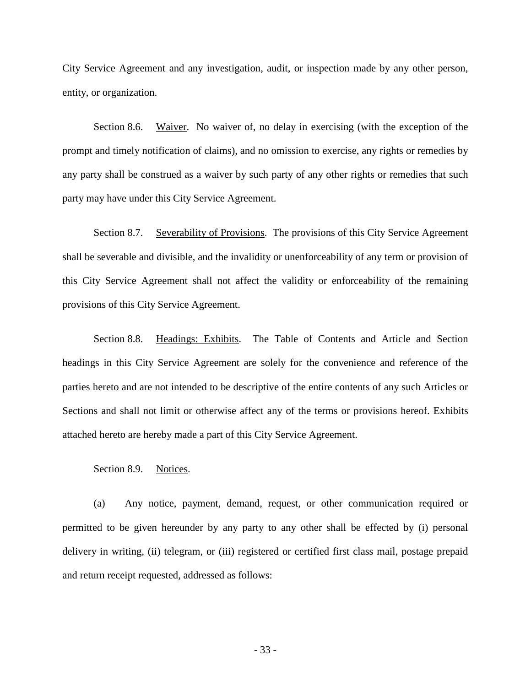City Service Agreement and any investigation, audit, or inspection made by any other person, entity, or organization.

Section 8.6. Waiver. No waiver of, no delay in exercising (with the exception of the prompt and timely notification of claims), and no omission to exercise, any rights or remedies by any party shall be construed as a waiver by such party of any other rights or remedies that such party may have under this City Service Agreement.

Section 8.7. Severability of Provisions. The provisions of this City Service Agreement shall be severable and divisible, and the invalidity or unenforceability of any term or provision of this City Service Agreement shall not affect the validity or enforceability of the remaining provisions of this City Service Agreement.

Section 8.8. Headings: Exhibits. The Table of Contents and Article and Section headings in this City Service Agreement are solely for the convenience and reference of the parties hereto and are not intended to be descriptive of the entire contents of any such Articles or Sections and shall not limit or otherwise affect any of the terms or provisions hereof. Exhibits attached hereto are hereby made a part of this City Service Agreement.

## Section 8.9. Notices.

(a) Any notice, payment, demand, request, or other communication required or permitted to be given hereunder by any party to any other shall be effected by (i) personal delivery in writing, (ii) telegram, or (iii) registered or certified first class mail, postage prepaid and return receipt requested, addressed as follows: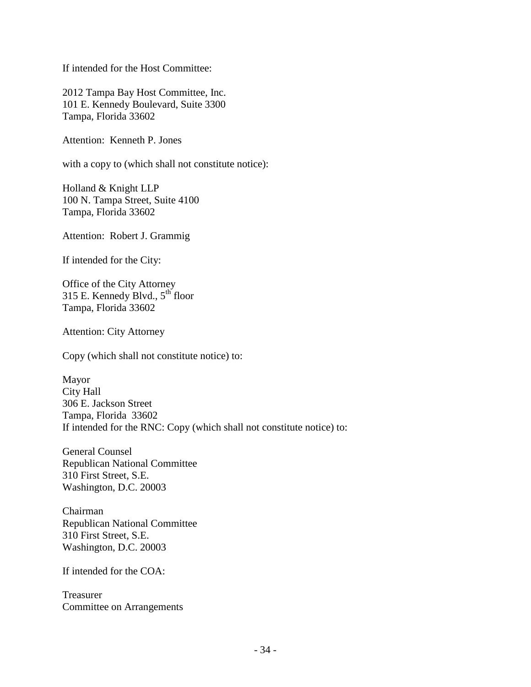If intended for the Host Committee:

2012 Tampa Bay Host Committee, Inc. 101 E. Kennedy Boulevard, Suite 3300 Tampa, Florida 33602

Attention: Kenneth P. Jones

with a copy to (which shall not constitute notice):

Holland & Knight LLP 100 N. Tampa Street, Suite 4100 Tampa, Florida 33602

Attention: Robert J. Grammig

If intended for the City:

Office of the City Attorney 315 E. Kennedy Blvd., 5<sup>th</sup> floor Tampa, Florida 33602

Attention: City Attorney

Copy (which shall not constitute notice) to:

Mayor City Hall 306 E. Jackson Street Tampa, Florida 33602 If intended for the RNC: Copy (which shall not constitute notice) to:

General Counsel Republican National Committee 310 First Street, S.E. Washington, D.C. 20003

Chairman Republican National Committee 310 First Street, S.E. Washington, D.C. 20003

If intended for the COA:

Treasurer Committee on Arrangements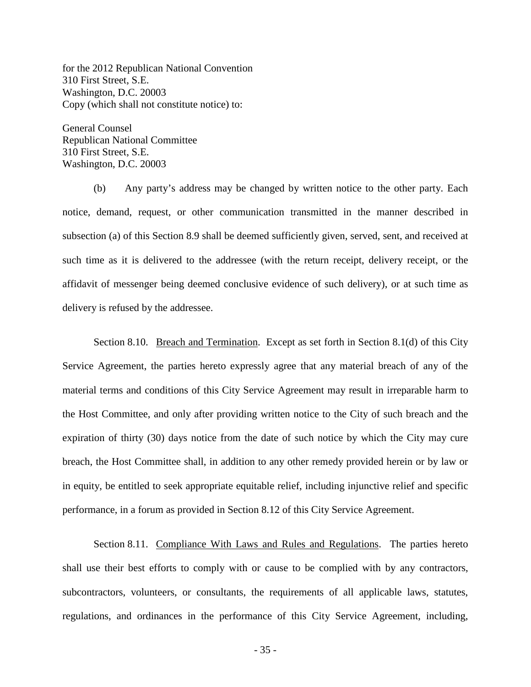for the 2012 Republican National Convention 310 First Street, S.E. Washington, D.C. 20003 Copy (which shall not constitute notice) to:

General Counsel Republican National Committee 310 First Street, S.E. Washington, D.C. 20003

(b) Any party's address may be changed by written notice to the other party. Each notice, demand, request, or other communication transmitted in the manner described in subsection (a) of this Section 8.9 shall be deemed sufficiently given, served, sent, and received at such time as it is delivered to the addressee (with the return receipt, delivery receipt, or the affidavit of messenger being deemed conclusive evidence of such delivery), or at such time as delivery is refused by the addressee.

Section 8.10. Breach and Termination. Except as set forth in Section 8.1(d) of this City Service Agreement, the parties hereto expressly agree that any material breach of any of the material terms and conditions of this City Service Agreement may result in irreparable harm to the Host Committee, and only after providing written notice to the City of such breach and the expiration of thirty (30) days notice from the date of such notice by which the City may cure breach, the Host Committee shall, in addition to any other remedy provided herein or by law or in equity, be entitled to seek appropriate equitable relief, including injunctive relief and specific performance, in a forum as provided in Section 8.12 of this City Service Agreement.

Section 8.11. Compliance With Laws and Rules and Regulations. The parties hereto shall use their best efforts to comply with or cause to be complied with by any contractors, subcontractors, volunteers, or consultants, the requirements of all applicable laws, statutes, regulations, and ordinances in the performance of this City Service Agreement, including,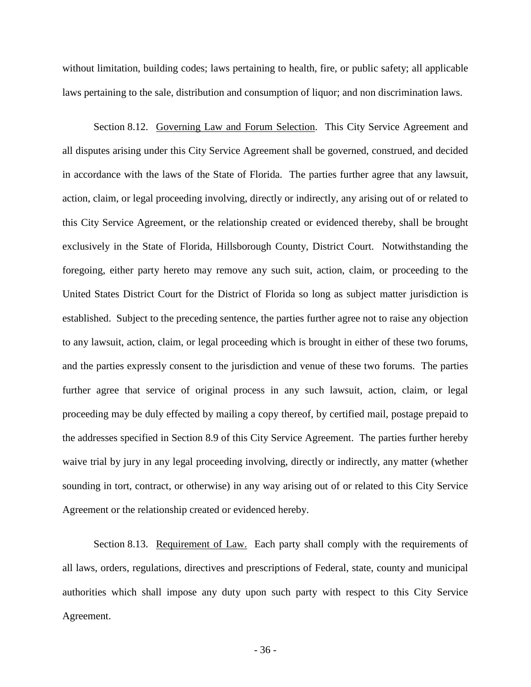without limitation, building codes; laws pertaining to health, fire, or public safety; all applicable laws pertaining to the sale, distribution and consumption of liquor; and non discrimination laws.

Section 8.12. Governing Law and Forum Selection. This City Service Agreement and all disputes arising under this City Service Agreement shall be governed, construed, and decided in accordance with the laws of the State of Florida. The parties further agree that any lawsuit, action, claim, or legal proceeding involving, directly or indirectly, any arising out of or related to this City Service Agreement, or the relationship created or evidenced thereby, shall be brought exclusively in the State of Florida, Hillsborough County, District Court. Notwithstanding the foregoing, either party hereto may remove any such suit, action, claim, or proceeding to the United States District Court for the District of Florida so long as subject matter jurisdiction is established. Subject to the preceding sentence, the parties further agree not to raise any objection to any lawsuit, action, claim, or legal proceeding which is brought in either of these two forums, and the parties expressly consent to the jurisdiction and venue of these two forums. The parties further agree that service of original process in any such lawsuit, action, claim, or legal proceeding may be duly effected by mailing a copy thereof, by certified mail, postage prepaid to the addresses specified in Section 8.9 of this City Service Agreement. The parties further hereby waive trial by jury in any legal proceeding involving, directly or indirectly, any matter (whether sounding in tort, contract, or otherwise) in any way arising out of or related to this City Service Agreement or the relationship created or evidenced hereby.

Section 8.13. Requirement of Law. Each party shall comply with the requirements of all laws, orders, regulations, directives and prescriptions of Federal, state, county and municipal authorities which shall impose any duty upon such party with respect to this City Service Agreement.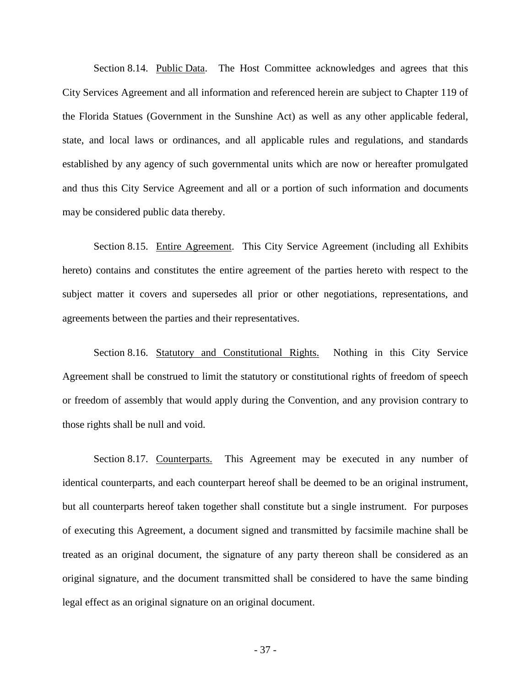Section 8.14. Public Data. The Host Committee acknowledges and agrees that this City Services Agreement and all information and referenced herein are subject to Chapter 119 of the Florida Statues (Government in the Sunshine Act) as well as any other applicable federal, state, and local laws or ordinances, and all applicable rules and regulations, and standards established by any agency of such governmental units which are now or hereafter promulgated and thus this City Service Agreement and all or a portion of such information and documents may be considered public data thereby.

Section 8.15. Entire Agreement. This City Service Agreement (including all Exhibits hereto) contains and constitutes the entire agreement of the parties hereto with respect to the subject matter it covers and supersedes all prior or other negotiations, representations, and agreements between the parties and their representatives.

Section 8.16. Statutory and Constitutional Rights. Nothing in this City Service Agreement shall be construed to limit the statutory or constitutional rights of freedom of speech or freedom of assembly that would apply during the Convention, and any provision contrary to those rights shall be null and void.

Section 8.17. Counterparts. This Agreement may be executed in any number of identical counterparts, and each counterpart hereof shall be deemed to be an original instrument, but all counterparts hereof taken together shall constitute but a single instrument. For purposes of executing this Agreement, a document signed and transmitted by facsimile machine shall be treated as an original document, the signature of any party thereon shall be considered as an original signature, and the document transmitted shall be considered to have the same binding legal effect as an original signature on an original document.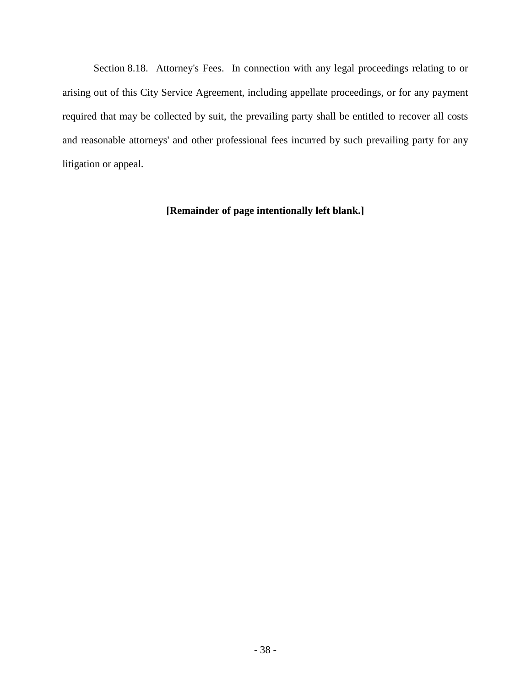Section 8.18. Attorney's Fees. In connection with any legal proceedings relating to or arising out of this City Service Agreement, including appellate proceedings, or for any payment required that may be collected by suit, the prevailing party shall be entitled to recover all costs and reasonable attorneys' and other professional fees incurred by such prevailing party for any litigation or appeal.

# **[Remainder of page intentionally left blank.]**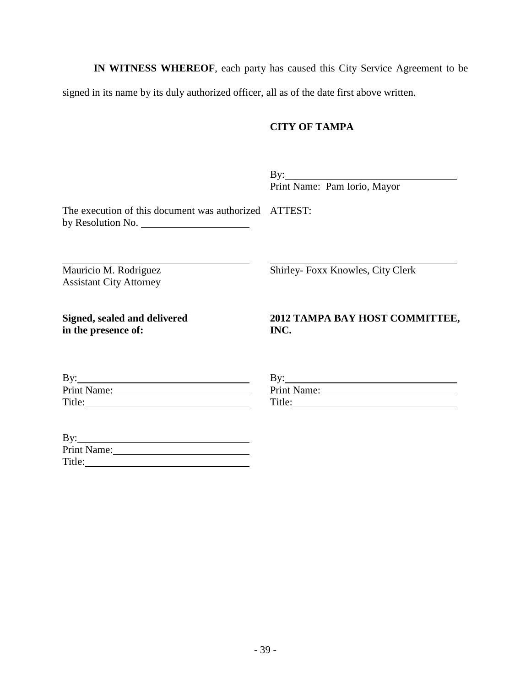**IN WITNESS WHEREOF**, each party has caused this City Service Agreement to be

signed in its name by its duly authorized officer, all as of the date first above written.

# **CITY OF TAMPA**

 $\mathbf{By:}$ Print Name: Pam Iorio, Mayor

The execution of this document was authorized ATTEST: by Resolution No.

Mauricio M. Rodriguez Assistant City Attorney Shirley- Foxx Knowles, City Clerk

**Signed, sealed and delivered in the presence of:**

# **2012 TAMPA BAY HOST COMMITTEE, INC.**

| By:         |  |
|-------------|--|
| Print Name: |  |
| Title:      |  |

| By:         |  |
|-------------|--|
| Print Name: |  |
| Title:      |  |

| By:         |  |
|-------------|--|
| Print Name: |  |
| Title:      |  |